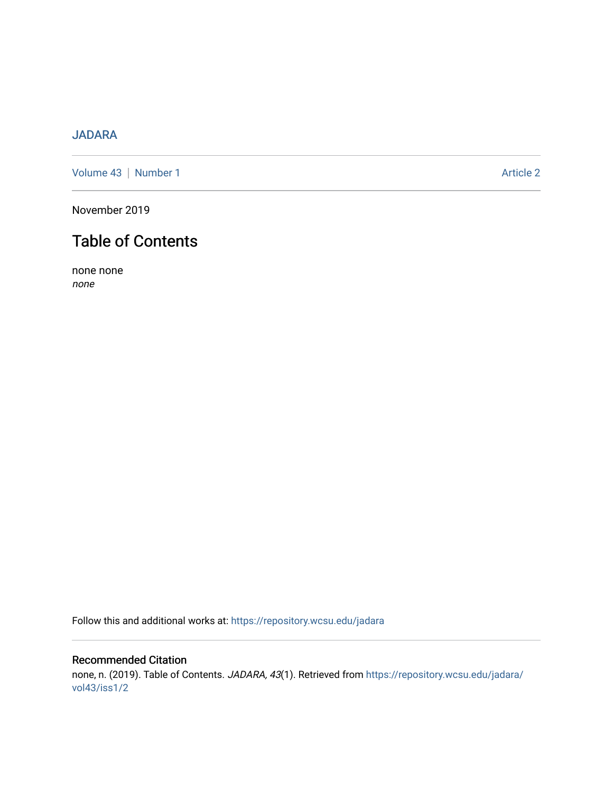## [JADARA](https://repository.wcsu.edu/jadara)

[Volume 43](https://repository.wcsu.edu/jadara/vol43) | [Number 1](https://repository.wcsu.edu/jadara/vol43/iss1) Article 2

November 2019

# Table of Contents

none none none

Follow this and additional works at: [https://repository.wcsu.edu/jadara](https://repository.wcsu.edu/jadara?utm_source=repository.wcsu.edu%2Fjadara%2Fvol43%2Fiss1%2F2&utm_medium=PDF&utm_campaign=PDFCoverPages)

## Recommended Citation none, n. (2019). Table of Contents. JADARA, 43(1). Retrieved from [https://repository.wcsu.edu/jadara/](https://repository.wcsu.edu/jadara/vol43/iss1/2?utm_source=repository.wcsu.edu%2Fjadara%2Fvol43%2Fiss1%2F2&utm_medium=PDF&utm_campaign=PDFCoverPages) [vol43/iss1/2](https://repository.wcsu.edu/jadara/vol43/iss1/2?utm_source=repository.wcsu.edu%2Fjadara%2Fvol43%2Fiss1%2F2&utm_medium=PDF&utm_campaign=PDFCoverPages)